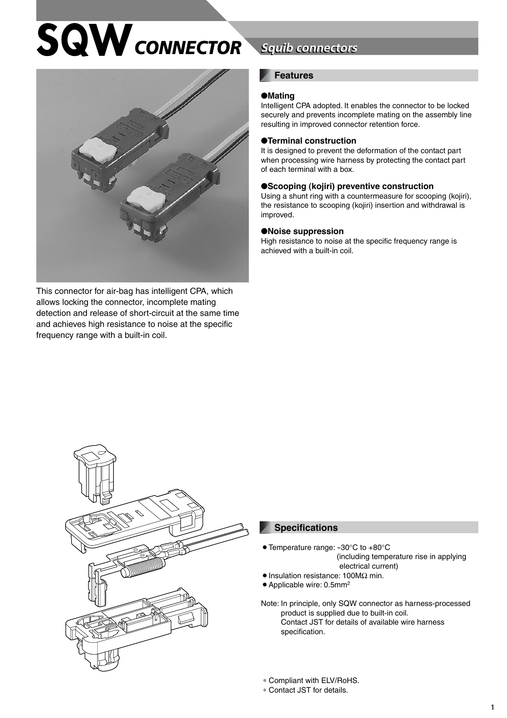# $SQW$ *CONNECTOR*



This connector for air-bag has intelligent CPA, which allows locking the connector, incomplete mating detection and release of short-circuit at the same time and achieves high resistance to noise at the specific frequency range with a built-in coil.

# **Squib connectors**

#### **Features**

#### ●**Mating**

Intelligent CPA adopted. It enables the connector to be locked securely and prevents incomplete mating on the assembly line resulting in improved connector retention force.

#### ●**Terminal construction**

It is designed to prevent the deformation of the contact part when processing wire harness by protecting the contact part of each terminal with a box.

#### ●**Scooping (kojiri) preventive construction**

Using a shunt ring with a countermeasure for scooping (kojiri), the resistance to scooping (kojiri) insertion and withdrawal is improved.

#### ●**Noise suppression**

High resistance to noise at the specific frequency range is achieved with a built-in coil.



#### **Specifications**

- $\bullet$  Temperature range: -30 $\degree$ C to +80 $\degree$ C (including temperature rise in applying electrical current)
- Insulation resistance: 100MΩ min.
- $\bullet$  Applicable wire: 0.5mm<sup>2</sup>

Note: In principle, only SQW connector as harness-processed product is supplied due to built-in coil. Contact JST for details of available wire harness specification.

∗ Compliant with ELV/RoHS.

∗ Contact JST for details.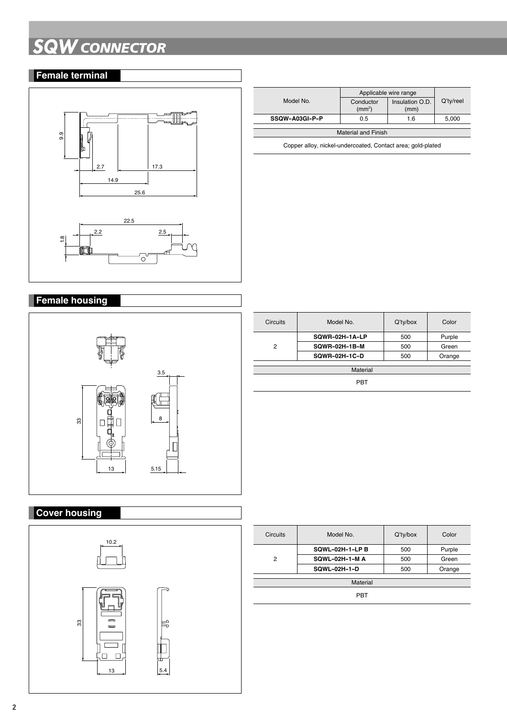# **SQW** *CONNECTOR*

## **Female terminal**



|                            | Applicable wire range           |                         |           |
|----------------------------|---------------------------------|-------------------------|-----------|
| Model No.                  | Conductor<br>(mm <sup>2</sup> ) | Insulation O.D.<br>(mm) | Q'ty/reel |
| SSQW-A03GI-P-P             | 0.5                             | 1.6                     | 5.000     |
|                            |                                 |                         |           |
|                            |                                 |                         |           |
| <b>Material and Finish</b> |                                 |                         |           |
|                            |                                 |                         |           |

Copper alloy, nickel-undercoated, Contact area; gold-plated

## **Female housing**



### **Cover housing**



| <b>Circuits</b> | Model No.            | $Q'$ ty/box | Color  |
|-----------------|----------------------|-------------|--------|
| 2               | SQWR-02H-1A-LP       | 500         | Purple |
|                 | <b>SQWR-02H-1B-M</b> | 500         | Green  |
|                 | <b>SQWR-02H-1C-D</b> | 500         | Orange |
|                 |                      |             |        |
| Material        |                      |             |        |

PBT

| <b>Circuits</b> | Model No.            | $Q'$ ty/box | Color  |
|-----------------|----------------------|-------------|--------|
|                 | SQWL-02H-1-LPB       | 500         | Purple |
| 2               | <b>SQWL-02H-1-MA</b> | 500         | Green  |
|                 | SQWL-02H-1-D         | 500         | Orange |
| Material        |                      |             |        |
|                 |                      |             |        |
| PBT             |                      |             |        |